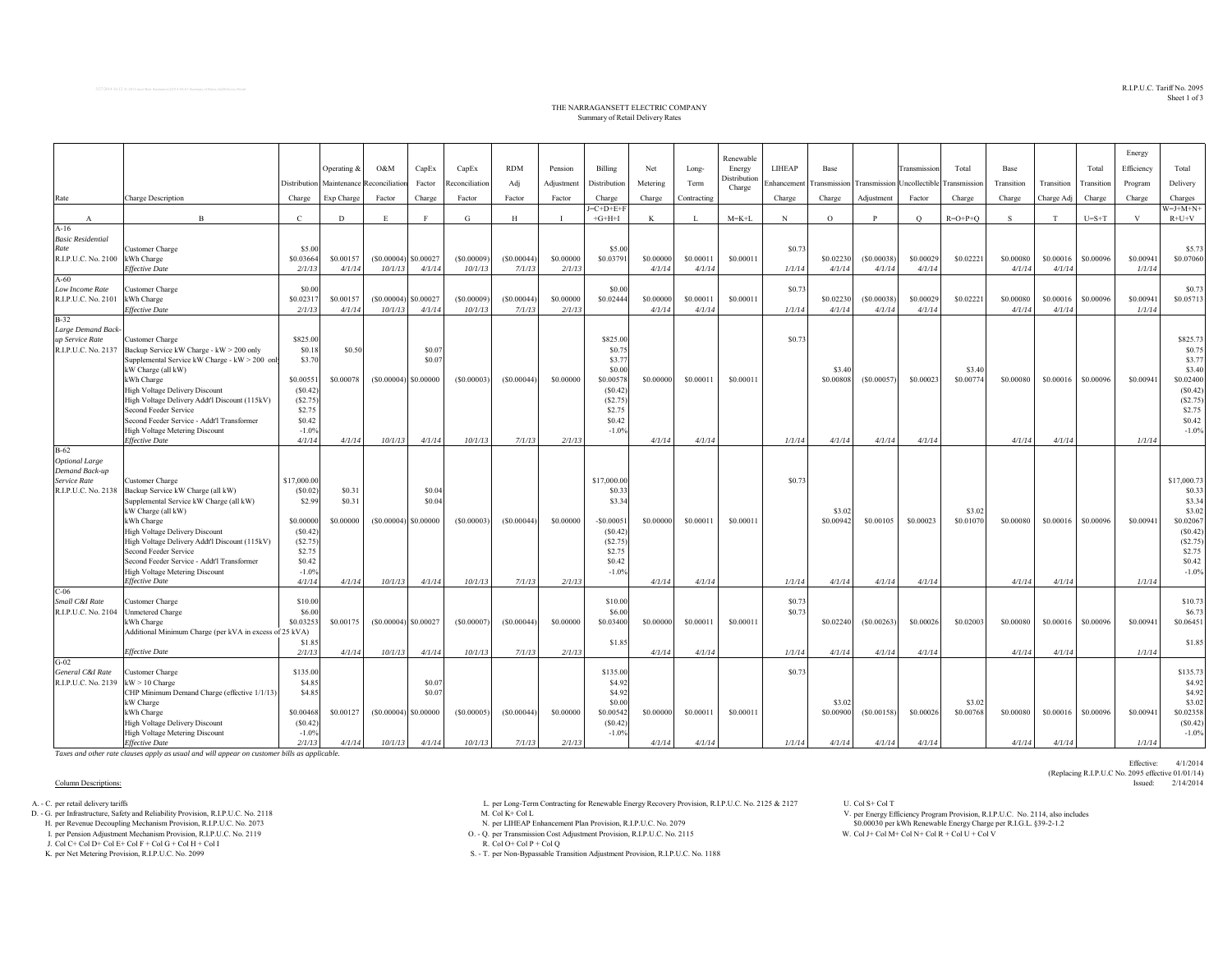$\mathrm{R.IP.U.}$  X:\2014 neco/Rate Summaries\[2014-04-01 Summary of Rates.xls]Delivery Detail  $\mathrm{R.TP.U.}$ Sheet 1 of 3

Effective: 4/1/2014

(Replacing R.I.P.U.C No. 2095 effective 01/01/14)

## THE NARRAGANSETT ELECTRIC COMPANY Summary of Retail Delivery Rates

|                                     |                                                                         |                        |                          |                        |                        |                |            |            |                       |           |              | Renewable              |             |           |                                                      |              |           |            |            |            | Energy     |                       |
|-------------------------------------|-------------------------------------------------------------------------|------------------------|--------------------------|------------------------|------------------------|----------------|------------|------------|-----------------------|-----------|--------------|------------------------|-------------|-----------|------------------------------------------------------|--------------|-----------|------------|------------|------------|------------|-----------------------|
|                                     |                                                                         |                        | Operating &              | O&M                    | CapEx                  | CapEx          | <b>RDM</b> | Pension    | Billing               | Net       | Long-        | Energy                 | LIHEAP      | Base      |                                                      | Transmission | Total     | Base       |            | Total      | Efficiency | Total                 |
|                                     |                                                                         |                        | Distribution Maintenance | Reconciliation         | Factor                 | Reconciliation | Adj        | Adjustment | Distribution          | Metering  | Term         | Distribution<br>Charge | inhancement |           | Transmission Transmission Uncollectible Transmission |              |           | Transition | Transition | Transition | Program    | Delivery              |
| Rate                                | <b>Charge Description</b>                                               | Charge                 | Exp Charge               | Factor                 | Charge                 | Factor         | Factor     | Factor     | Charge                | Charge    | Contracting  |                        | Charge      | Charge    | Adjustment                                           | Factor       | Charge    | Charge     | Charge Adj | Charge     | Charge     | Charges               |
|                                     |                                                                         |                        |                          |                        |                        |                |            |            | $E=C+D+E+F$           |           |              |                        |             |           |                                                      |              |           |            |            |            |            | $W = J + M + N +$     |
| $\mathbf{A}$                        | $\mathbf{R}$                                                            | $\mathbf{C}$           | D                        |                        | $\mathbf{F}$           | G              | H          |            | $+C+H+I$              | K         | $\mathbf{I}$ | $M = K + L$            | N           | $\circ$   | $\mathbf{p}$                                         | $\circ$      | $R=O+P+O$ | S.         | T          | $U=S+T$    | V          | $R+U+V$               |
| $A-16$                              |                                                                         |                        |                          |                        |                        |                |            |            |                       |           |              |                        |             |           |                                                      |              |           |            |            |            |            |                       |
| <b>Basic Residential</b>            |                                                                         |                        |                          |                        |                        |                |            |            |                       |           |              |                        |             |           |                                                      |              |           |            |            |            |            | \$5.73                |
| Rate<br>R.I.P.U.C. No. 2100         | Customer Charge<br>kWh Charge                                           | \$5.00<br>\$0.03664    | \$0.00157                | $(S0.00004)$ \$0.00027 |                        | (S0.00009)     | (S0.00044) | \$0,00000  | \$5.00<br>\$0.03791   | \$0,00000 | \$0.00011    | \$0.00011              | \$0.73      | \$0.02230 | (S0.00038)                                           | \$0.00029    | \$0.02221 | \$0.00080  | \$0.00016  | \$0.00096  | \$0.00941  | \$0.07060             |
|                                     | <b>Effective Date</b>                                                   | 2/1/13                 | 4/1/14                   | 10/1/13                | 4/1/14                 | 10/1/13        | 7/1/13     | 2/1/13     |                       | 4/1/14    | 4/1/14       |                        | 1/1/14      | 4/1/14    | 4/1/14                                               | 4/1/14       |           | 4/1/14     | 4/1/14     |            | 1/1/14     |                       |
| $A-60$                              |                                                                         |                        |                          |                        |                        |                |            |            |                       |           |              |                        |             |           |                                                      |              |           |            |            |            |            |                       |
| Low Income Rate                     | Customer Charge                                                         | \$0.00                 |                          |                        |                        |                |            |            | \$0.00                |           |              |                        | \$0.73      |           |                                                      |              |           |            |            |            |            | \$0.73                |
| R.I.P.U.C. No. 2101                 | kWh Charge                                                              | \$0.0231               | \$0.00157                | (S0.00004)             | \$0.00027              | (S0.00009)     | (S0.00044) | \$0,00000  | \$0.02444             | \$0,00000 | \$0.00011    | \$0,00011              |             | \$0.02230 | (S0.00038)                                           | \$0.00029    | \$0.02221 | \$0.00080  | \$0.00016  | \$0.00096  | \$0.00941  | \$0.05713             |
|                                     | <b>Effective Date</b>                                                   | 2/1/13                 | 4/1/14                   | 10/1/13                | 4/1/14                 | 10/1/13        | 7/1/13     | 2/1/13     |                       | 4/1/14    | 4/1/14       |                        | 1/1/14      | 4/1/14    | 4/1/14                                               | 4/1/14       |           | 4/1/14     | 4/1/14     |            | 1/1/14     |                       |
| $B-32$                              |                                                                         |                        |                          |                        |                        |                |            |            |                       |           |              |                        |             |           |                                                      |              |           |            |            |            |            |                       |
| Large Demand Back-                  |                                                                         |                        |                          |                        |                        |                |            |            |                       |           |              |                        |             |           |                                                      |              |           |            |            |            |            |                       |
| up Service Rate                     | Customer Charge                                                         | \$825.00               |                          |                        |                        |                |            |            | \$825.00              |           |              |                        | \$0.73      |           |                                                      |              |           |            |            |            |            | \$825.73              |
| R.I.P.U.C. No. 2137                 | Backup Service kW Charge - kW > 200 only                                | \$0.18                 | \$0.50                   |                        | \$0.07<br>\$0.07       |                |            |            | \$0.75                |           |              |                        |             |           |                                                      |              |           |            |            |            |            | \$0.75<br>\$3.77      |
|                                     | Supplemental Service kW Charge - kW > 200 only<br>kW Charge (all kW)    | \$3.70                 |                          |                        |                        |                |            |            | \$3.77<br>\$0.00      |           |              |                        |             | \$3.40    |                                                      |              | \$3.40    |            |            |            |            | \$3.40                |
|                                     | kWh Charge                                                              | \$0.0055               | \$0.00078                |                        | $(S0.00004)$ \$0.00000 | (S0.00003)     | (S0.00044) | \$0,00000  | \$0.00578             | \$0,00000 | \$0.00011    | \$0,00011              |             | \$0.00808 | (S0.00057)                                           | \$0.00023    | \$0.00774 | \$0.00080  | \$0,00016  | \$0.00096  | \$0.00941  | \$0.02400             |
|                                     | <b>High Voltage Delivery Discount</b>                                   | (S0.42)                |                          |                        |                        |                |            |            | (S0.42)               |           |              |                        |             |           |                                                      |              |           |            |            |            |            | (S0.42)               |
|                                     | High Voltage Delivery Addt'l Discount (115kV)                           | (S2.75)                |                          |                        |                        |                |            |            | (S2.75)               |           |              |                        |             |           |                                                      |              |           |            |            |            |            | (S2.75)               |
|                                     | Second Feeder Service                                                   | \$2.75                 |                          |                        |                        |                |            |            | \$2.75                |           |              |                        |             |           |                                                      |              |           |            |            |            |            | \$2.75                |
|                                     | Second Feeder Service - Addt'l Transformer                              | \$0.42                 |                          |                        |                        |                |            |            | \$0.42                |           |              |                        |             |           |                                                      |              |           |            |            |            |            | \$0.42                |
|                                     | High Voltage Metering Discount                                          | $-1.0%$                |                          |                        |                        |                |            |            | $-1.0%$               |           |              |                        |             |           |                                                      |              |           |            |            |            |            | $-1.0%$               |
|                                     | <b>Effective Date</b>                                                   | 4/1/14                 | 4/1/14                   | 10/1/13                | 4/1/14                 | 10/1/13        | 7/1/13     | 2/1/13     |                       | 4/1/14    | 4/1/14       |                        | 1/1/14      | 4/1/14    | 4/1/14                                               | 4/1/14       |           | 4/1/14     | 4/1/14     |            | 1/1/14     |                       |
| $B-62$                              |                                                                         |                        |                          |                        |                        |                |            |            |                       |           |              |                        |             |           |                                                      |              |           |            |            |            |            |                       |
| <b>Optional Large</b>               |                                                                         |                        |                          |                        |                        |                |            |            |                       |           |              |                        |             |           |                                                      |              |           |            |            |            |            |                       |
| Demand Back-up                      |                                                                         |                        |                          |                        |                        |                |            |            |                       |           |              |                        |             |           |                                                      |              |           |            |            |            |            |                       |
| Service Rate<br>R.I.P.U.C. No. 2138 | Customer Charge<br>Backup Service kW Charge (all kW)                    | \$17,000.00<br>(S0.02) | \$0.31                   |                        | \$0.04                 |                |            |            | \$17,000.00<br>\$0.33 |           |              |                        | \$0.73      |           |                                                      |              |           |            |            |            |            | \$17,000.73<br>\$0.33 |
|                                     | Supplemental Service kW Charge (all kW)                                 | \$2.99                 | \$0.31                   |                        | \$0.04                 |                |            |            | \$3.34                |           |              |                        |             |           |                                                      |              |           |            |            |            |            | \$3.34                |
|                                     | kW Charge (all kW)                                                      |                        |                          |                        |                        |                |            |            |                       |           |              |                        |             | \$3.02    |                                                      |              | \$3.02    |            |            |            |            | \$3.02                |
|                                     | kWh Charge                                                              | \$0,00000              | \$0,00000                |                        | $(S0.00004)$ \$0.00000 | (S0.00003)     | (S0.00044) | \$0,00000  | $-$0.0005$            | \$0,0000  | \$0.00011    | \$0,00011              |             | \$0.00942 | \$0,00105                                            | \$0.00023    | \$0.01070 | \$0.00080  | \$0,00016  | \$0.00096  | \$0.00941  | \$0.02067             |
|                                     | <b>High Voltage Delivery Discount</b>                                   | (S0.42)                |                          |                        |                        |                |            |            | (S0.42)               |           |              |                        |             |           |                                                      |              |           |            |            |            |            | (S0.42)               |
|                                     | High Voltage Delivery Addt'l Discount (115kV)                           | (S2.75)                |                          |                        |                        |                |            |            | (S2.75)               |           |              |                        |             |           |                                                      |              |           |            |            |            |            | (S2.75)               |
|                                     | Second Feeder Service                                                   | \$2.75                 |                          |                        |                        |                |            |            | \$2.75                |           |              |                        |             |           |                                                      |              |           |            |            |            |            | \$2.75                |
|                                     | Second Feeder Service - Addt'l Transformer                              | \$0.42                 |                          |                        |                        |                |            |            | \$0.42                |           |              |                        |             |           |                                                      |              |           |            |            |            |            | \$0.42                |
|                                     | <b>High Voltage Metering Discount</b>                                   | $-1.0%$                |                          |                        |                        |                |            |            | $-1.0%$               |           |              |                        |             |           |                                                      |              |           |            |            |            |            | $-1.0%$               |
|                                     | <b>Effective Date</b>                                                   | 4/1/14                 | 4/1/14                   | 10/1/13                | 4/1/14                 | 10/1/13        | 7/1/13     | 2/1/13     |                       | 4/1/14    | 4/1/14       |                        | 1/1/14      | 4/1/14    | 4/1/14                                               | 4/1/14       |           | 4/1/14     | 4/1/14     |            | 1/1/14     |                       |
| $C-06$<br>Small C&I Rate            |                                                                         | \$10.00                |                          |                        |                        |                |            |            | \$10.00               |           |              |                        | \$0.73      |           |                                                      |              |           |            |            |            |            | \$10.73               |
| R.I.P.U.C. No. 2104                 | Customer Charge<br><b>Unmetered Charge</b>                              | \$6.00                 |                          |                        |                        |                |            |            | \$6.00                |           |              |                        | \$0.73      |           |                                                      |              |           |            |            |            |            | \$6.73                |
|                                     | kWh Charge                                                              | \$0.0325               | \$0.00175                |                        | $(S0.00004)$ \$0.00027 | (S0.00007)     | (S0.00044) | \$0,00000  | \$0.03400             | \$0,00000 | \$0.00011    | \$0.00011              |             | \$0.02240 | (S0.00263)                                           | \$0.00026    | \$0.02003 | \$0.00080  | \$0.00016  | \$0.00096  | \$0.00941  | \$0.06451             |
|                                     | Additional Minimum Charge (per kVA in excess of 25 kVA)                 |                        |                          |                        |                        |                |            |            |                       |           |              |                        |             |           |                                                      |              |           |            |            |            |            |                       |
|                                     |                                                                         | \$1.8                  |                          |                        |                        |                |            |            | \$1.85                |           |              |                        |             |           |                                                      |              |           |            |            |            |            | \$1.85                |
|                                     | <b>Effective Date</b>                                                   | 2/1/13                 | 4/1/14                   | 10/1/13                | 4/1/14                 | 10/1/13        | 7/1/13     | 2/1/13     |                       | 4/1/14    | 4/1/14       |                        | 1/1/14      | 4/1/14    | 4/1/14                                               | 4/1/14       |           | 4/1/14     | 4/1/14     |            | 1/1/14     |                       |
| $G-02$                              |                                                                         |                        |                          |                        |                        |                |            |            |                       |           |              |                        |             |           |                                                      |              |           |            |            |            |            |                       |
| General C&I Rate                    | Customer Charge                                                         | \$135.00               |                          |                        |                        |                |            |            | \$135.00              |           |              |                        | \$0.73      |           |                                                      |              |           |            |            |            |            | \$135.73              |
| R.I.P.U.C. No. 2139                 | $kW > 10$ Charge                                                        | \$4.85                 |                          |                        | \$0.07                 |                |            |            | \$4.92                |           |              |                        |             |           |                                                      |              |           |            |            |            |            | \$4.92                |
|                                     | CHP Minimum Demand Charge (effective 1/1/13)                            | \$4.85                 |                          |                        | \$0.07                 |                |            |            | \$4.92                |           |              |                        |             |           |                                                      |              |           |            |            |            |            | \$4.92                |
|                                     | kW Charge                                                               |                        |                          |                        |                        |                |            |            | \$0.00                |           |              |                        |             | \$3.02    |                                                      |              | \$3.02    |            |            |            |            | \$3.02                |
|                                     | kWh Charge                                                              | \$0.00468              | \$0.00127                |                        | $(S0.00004)$ \$0.00000 | (S0.00005)     | (S0.00044) | \$0,00000  | \$0.00542             | \$0,00000 | \$0.00011    | \$0.00011              |             | \$0.00900 | (S0.00158)                                           | \$0.00026    | \$0.00768 | \$0,00080  | \$0,00016  | \$0.00096  | \$0.00941  | \$0.02358             |
|                                     | High Voltage Delivery Discount<br><b>High Voltage Metering Discount</b> | (S0.42)<br>$-1.0%$     |                          |                        |                        |                |            |            | (S0.42)<br>$-1.0%$    |           |              |                        |             |           |                                                      |              |           |            |            |            |            | (S0.42)<br>$-1.0%$    |
|                                     | <b>Effective Date</b>                                                   | 2/1/13                 | 4/1/14                   | 10/1/13                | 4/1/14                 | 10/1/13        | 7/1/13     | 2/1/13     |                       | 4/1/14    | 4/1/14       |                        | 1/1/14      | 4/1/14    | 4/1/14                                               | 4/1/14       |           | 4/1/14     | 4/1/14     |            | 1/1/14     |                       |
|                                     |                                                                         |                        |                          |                        |                        |                |            |            |                       |           |              |                        |             |           |                                                      |              |           |            |            |            |            |                       |

*Taxes and other rate clauses apply as usual and will appear on customer bills as applicable.*

## Column Descriptions: Issued: 2/14/2014

J. Col C+ Col D+ Col E+ Col F + Col G + Col H + Col I

A. - C. per retail delivery tariffs L. Col S+ Col T و L. per Long-Term Contracting for Renewable Energy Recovery Provision, R.I.P.U.C. No. 2125 & 2127 U. Col S+ Col T و L. Col S+ Col T و Col S+ Col T و Energy Effent Contra

D. - G. per Infrastructure, Safety and Reliability Provision, R.I.P.U.C. No. 2118<br>H. per Revenue Decoupling Mechanism Provision, R.I.P.U.C. No. 2073 [17] W. Per LIHEAP Enhancement Plan Provision, R.I.P.U.C. No. 2079

I. per Pension Adjustment Mechanism Provision, R.I.P.U.C. No. 2119 O. - Q. per Transmission Cost Adjustment Provision, R.I.P.U.C. No. 2115 W. Col I+ Col N+ Col N+ Col N+ Col N+ Col U + Col V + Col V + Col V + Col V + Col

K. per Net Metering Provision, R.I.P.U.C. No. 2099 S. - T. per Non-Bypassable Transition Adjustment Provision, R.I.P.U.C. No. 1188

per Energy Efficiency Program Provision, R.I.P.U.C. No. 2114, also includes \$0.00030 per kWh Renewable Energy Charge per R.I.G.L. §39-2-1.2